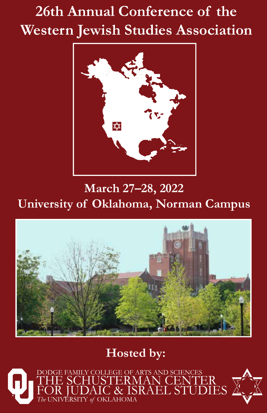# **26th Annual Conference of the Western Jewish Studies Association**



**March 27–28, 2022 University of Oklahoma, Norman Campus**



# **Hosted by:**

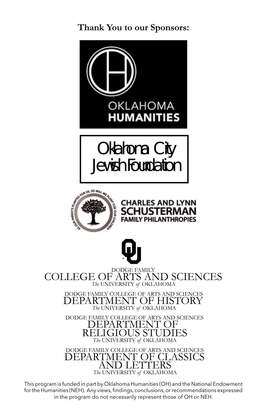**Thank You to our Sponsors:**



DEPARTMENT OF HISTORY *The* UNIVERSITY *of* OKLAHOMA

DODGE FAMILY COLLEGE OF ARTS AND SCIENCES DEPARTMENT OF RELIGIOUS STUDIES *The* UNIVERSITY *of* OKLAHOMA

DODGE FAMILY COLLEGE OF ARTS AND SCIENCES DEPARTMENT OF CLASSICS AND LETTERS *The* UNIVERSITY *of* OKLAHOMA

This program is funded in part by Oklahoma Humanities (OH) and the National Endowment for the Humanities (NEH). Any views, findings, conclusions, or recommendations expressed in the program do not necessarily represent those of OH or NEH.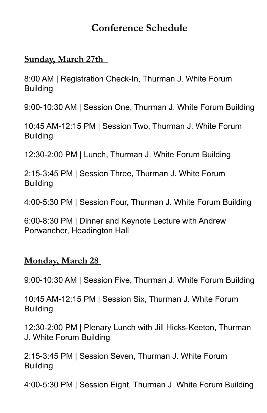### **Conference Schedule**

### **Sunday, March 27th**

8:00 AM | Registration Check-In, Thurman J. White Forum **Building** 

9:00-10:30 AM | Session One, Thurman J. White Forum Building

10:45 AM-12:15 PM | Session Two, Thurman J. White Forum **Building** 

12:30-2:00 PM | Lunch, Thurman J. White Forum Building

2:15-3:45 PM | Session Three, Thurman J. White Forum Building

4:00-5:30 PM | Session Four, Thurman J. White Forum Building

6:00-8:30 PM | Dinner and Keynote Lecture with Andrew Porwancher, Headington Hall

### **Monday, March 28**

9:00-10:30 AM | Session Five, Thurman J. White Forum Building

10:45 AM-12:15 PM | Session Six, Thurman J. White Forum Building

12:30-2:00 PM | Plenary Lunch with Jill Hicks-Keeton, Thurman J. White Forum Building

2:15-3:45 PM | Session Seven, Thurman J. White Forum **Building** 

4:00-5:30 PM | Session Eight, Thurman J. White Forum Building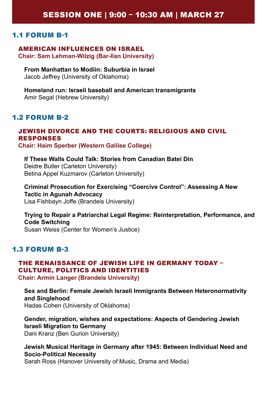#### AMERICAN INFLUENCES ON ISRAEL **Chair: Sam Lehman-Wilzig (Bar-Ilan University)**

**From Manhattan to Modiin: Suburbia in Israel** Jacob Jeffrey (University of Oklahoma)

**Homeland run: Israeli baseball and American transmigrants**  Amir Segal (Hebrew University)

#### 1.2 FORUM B-2

#### JEWISH DIVORCE AND THE COURTS: RELIGIOUS AND CIVIL RESPONSES **Chair: Haim Sperber (Western Galilee College)**

**If These Walls Could Talk: Stories from Canadian Batei Din** Deidre Butler (Carleton University) Betina Appel Kuzmarov (Carleton University)

**Criminal Prosecution for Exercising "Coercive Control": Assessing A New Tactic in Agunah Advocacy** Lisa Fishbayn Joffe (Brandeis University)

**Trying to Repair a Patriarchal Legal Regime: Reinterpretation, Performance, and Code Switching**  Susan Weiss (Center for Women's Justice)

#### 1.3 FORUM B-3

#### THE RENAISSANCE OF JEWISH LIFE IN GERMANY TODAY – CULTURE, POLITICS AND IDENTITIES

**Chair: Armin Langer (Brandeis University)**

**Sex and Berlin: Female Jewish Israeli Immigrants Between Heteronormativity and Singlehood**  Hadas Cohen (University of Oklahoma)

**Gender, migration, wishes and expectations: Aspects of Gendering Jewish Israeli Migration to Germany** Dani Kranz (Ben Gurion University)

**Jewish Musical Heritage in Germany after 1945: Between Individual Need and Socio-Political Necessity**

Sarah Ross (Hanover University of Music, Drama and Media)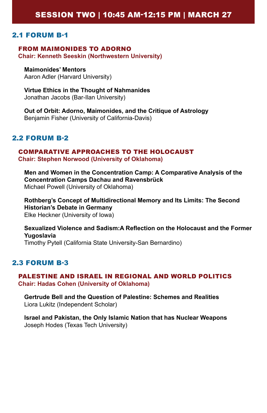#### SESSION TWO | 10:45 AM-12:15 PM | MARCH 27

#### 2.1 FORUM B-1

#### FROM MAIMONIDES TO ADORNO **Chair: Kenneth Seeskin (Northwestern University)**

**Maimonides' Mentors** Aaron Adler (Harvard University)

**Virtue Ethics in the Thought of Nahmanides**  Jonathan Jacobs (Bar-Ilan University)

**Out of Orbit: Adorno, Maimonides, and the Critique of Astrology** Benjamin Fisher (University of California-Davis)

#### 2.2 FORUM B-2

#### COMPARATIVE APPROACHES TO THE HOLOCAUST **Chair: Stephen Norwood (University of Oklahoma)**

**Men and Women in the Concentration Camp: A Comparative Analysis of the Concentration Camps Dachau and Ravensbrück**  Michael Powell (University of Oklahoma)

**Rothberg's Concept of Multidirectional Memory and Its Limits: The Second Historian's Debate in Germany**  Elke Heckner (University of Iowa)

**Sexualized Violence and Sadism:A Reflection on the Holocaust and the Former Yugoslavia** Timothy Pytell (California State University-San Bernardino)

#### 2.3 FORUM B-3

#### PALESTINE AND ISRAEL IN REGIONAL AND WORLD POLITICS **Chair: Hadas Cohen (University of Oklahoma)**

**Gertrude Bell and the Question of Palestine: Schemes and Realities**  Liora Lukitz (Independent Scholar)

**Israel and Pakistan, the Only Islamic Nation that has Nuclear Weapons** Joseph Hodes (Texas Tech University)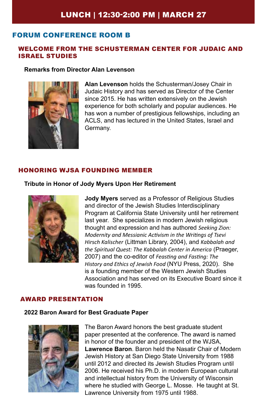#### FORUM CONFERENCE ROOM B

#### WELCOME FROM THE SCHUSTERMAN CENTER FOR JUDAIC AND ISRAEL STUDIES

#### **Remarks from Director Alan Levenson**



**Alan Levenson** holds the Schusterman/Josey Chair in Judaic History and has served as Director of the Center since 2015. He has written extensively on the Jewish experience for both scholarly and popular audiences. He has won a number of prestigious fellowships, including an ACLS, and has lectured in the United States, Israel and Germany.

#### HONORING WJSA FOUNDING MEMBER

#### **Tribute in Honor of Jody Myers Upon Her Retirement**



**Jody Myers** served as a Professor of Religious Studies and director of the Jewish Studies Interdisciplinary Program at California State University until her retirement last year. She specializes in modern Jewish religious thought and expression and has authored *Seeking Zion: Modernity and Messianic Activism in the Writings of Tsevi Hirsch Kalischer* (Littman Library, 2004), and *Kabbalah and the Spiritual Quest: The Kabbalah Center in America* (Praeger, 2007) and the co-editor of *Feasting and Fasting: The History and Ethics of Jewish Food* (NYU Press, 2020). She is a founding member of the Western Jewish Studies Association and has served on its Executive Board since it was founded in 1995.

#### AWARD PRESENTATION

#### **2022 Baron Award for Best Graduate Paper**



The Baron Award honors the best graduate student paper presented at the conference. The award is named in honor of the founder and president of the WJSA, **Lawrence Baron**. Baron held the Nasatir Chair of Modern Jewish History at San Diego State University from 1988 until 2012 and directed its Jewish Studies Program until 2006. He received his Ph.D. in modern European cultural and intellectual history from the University of Wisconsin where he studied with George L. Mosse. He taught at St. Lawrence University from 1975 until 1988.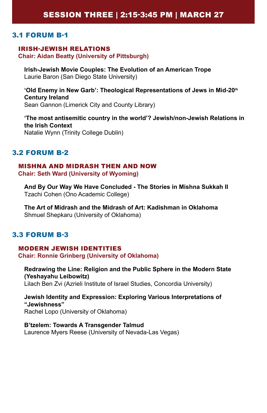#### IRISH-JEWISH RELATIONS **Chair: Aidan Beatty (University of Pittsburgh)**

**Irish-Jewish Movie Couples: The Evolution of an American Trope** Laurie Baron (San Diego State University)

**'Old Enemy in New Garb': Theological Representations of Jews in Mid-20th Century Ireland** Sean Gannon (Limerick City and County Library)

**'The most antisemitic country in the world'? Jewish/non-Jewish Relations in the Irish Context** Natalie Wynn (Trinity College Dublin)

#### 3.2 FORUM B-2

#### MISHNA AND MIDRASH THEN AND NOW **Chair: Seth Ward (University of Wyoming)**

**And By Our Way We Have Concluded - The Stories in Mishna Sukkah II** Tzachi Cohen (Ono Academic College)

**The Art of Midrash and the Midrash of Art: Kadishman in Oklahoma** Shmuel Shepkaru (University of Oklahoma)

#### 3.3 FORUM B-3

#### MODERN JEWISH IDENTITIES **Chair: Ronnie Grinberg (University of Oklahoma)**

**Redrawing the Line: Religion and the Public Sphere in the Modern State (Yeshayahu Leibowitz)**  Lilach Ben Zvi (Azrieli Institute of Israel Studies, Concordia University)

**Jewish Identity and Expression: Exploring Various Interpretations of "Jewishness"** Rachel Lopo (University of Oklahoma)

**B'tzelem: Towards A Transgender Talmud** Laurence Myers Reese (University of Nevada-Las Vegas)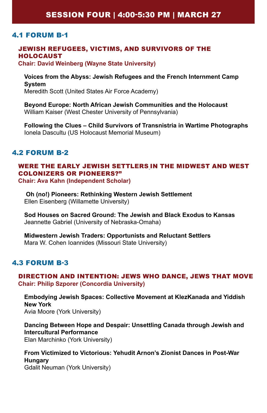### SESSION FOUR | 4:00-5:30 PM | MARCH 27

#### 4.1 FORUM B-1

#### JEWISH REFUGEES, VICTIMS, AND SURVIVORS OF THE HOLOCAUST

**Chair: David Weinberg (Wayne State University)**

**Voices from the Abyss: Jewish Refugees and the French Internment Camp System** Meredith Scott (United States Air Force Academy)

**Beyond Europe: North African Jewish Communities and the Holocaust** William Kaiser (West Chester University of Pennsylvania)

**Following the Clues – Child Survivors of Transnistria in Wartime Photographs** Ionela Dascultu (US Holocaust Memorial Museum)

#### 4.2 FORUM B-2

### WERE THE EARLY JEWISH SETTLERS IN THE MIDWEST AND WEST COLONIZERS OR PIONEERS?"

**Chair: Ava Kahn (Independent Scholar)** 

**Oh (no!) Pioneers: Rethinking Western Jewish Settlement**  Ellen Eisenberg (Willamette University)

**Sod Houses on Sacred Ground: The Jewish and Black Exodus to Kansas** Jeannette Gabriel (University of Nebraska-Omaha)

**Midwestern Jewish Traders: Opportunists and Reluctant Settlers** Mara W. Cohen Ioannides (Missouri State University)

#### 4.3 FORUM B-3

#### DIRECTION AND INTENTION: JEWS WHO DANCE, JEWS THAT MOVE **Chair: Philip Szporer (Concordia University)**

**Embodying Jewish Spaces: Collective Movement at KlezKanada and Yiddish New York**  Avia Moore (York University)

**Dancing Between Hope and Despair: Unsettling Canada through Jewish and Intercultural Performance**  Elan Marchinko (York University)

**From Victimized to Victorious: Yehudit Arnon's Zionist Dances in Post-War Hungary**  Gdalit Neuman (York University)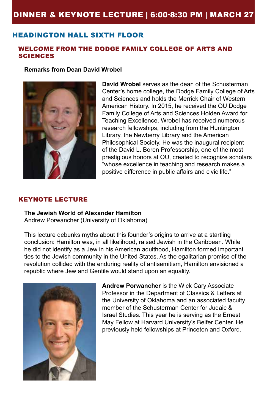### DINNER & KEYNOTE LECTURE | 6:00-8:30 PM | MARCH 27

#### HEADINGTON HALL SIXTH FLOOR

#### WELCOME FROM THE DODGE FAMILY COLLEGE OF ARTS AND **SCIENCES**

**Remarks from Dean David Wrobel**



**David Wrobel** serves as the dean of the Schusterman Center's home college, the Dodge Family College of Arts and Sciences and holds the Merrick Chair of Western American History. In 2015, he received the OU Dodge Family College of Arts and Sciences Holden Award for Teaching Excellence. Wrobel has received numerous research fellowships, including from the Huntington Library, the Newberry Library and the American Philosophical Society. He was the inaugural recipient of the David L. Boren Professorship, one of the most prestigious honors at OU, created to recognize scholars "whose excellence in teaching and research makes a positive difference in public affairs and civic life."

#### KEYNOTE LECTURE

**The Jewish World of Alexander Hamilton** Andrew Porwancher (University of Oklahoma)

This lecture debunks myths about this founder's origins to arrive at a startling conclusion: Hamilton was, in all likelihood, raised Jewish in the Caribbean. While he did not identify as a Jew in his American adulthood, Hamilton formed important ties to the Jewish community in the United States. As the egalitarian promise of the revolution collided with the enduring reality of antisemitism, Hamilton envisioned a republic where Jew and Gentile would stand upon an equality.



**Andrew Porwancher** is the Wick Cary Associate Professor in the Department of Classics & Letters at the University of Oklahoma and an associated faculty member of the Schusterman Center for Judaic & Israel Studies. This year he is serving as the Ernest May Fellow at Harvard University's Belfer Center. He previously held fellowships at Princeton and Oxford.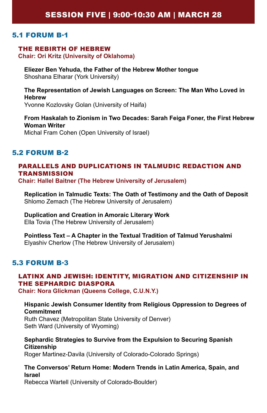#### THE REBIRTH OF HEBREW

**Chair: Ori Kritz (University of Oklahoma)**

**Eliezer Ben Yehuda, the Father of the Hebrew Mother tongue**  Shoshana Elharar (York University)

**The Representation of Jewish Languages on Screen: The Man Who Loved in Hebrew** Yvonne Kozlovsky Golan (University of Haifa)

**From Haskalah to Zionism in Two Decades: Sarah Feiga Foner, the First Hebrew Woman Writer** Michal Fram Cohen (Open University of Israel)

#### 5.2 FORUM B-2

#### PARALLELS AND DUPLICATIONS IN TALMUDIC REDACTION AND **TRANSMISSION**

**Chair: Hallel Baitner (The Hebrew University of Jerusalem)** 

**Replication in Talmudic Texts: The Oath of Testimony and the Oath of Deposit**  Shlomo Zemach (The Hebrew University of Jerusalem)

### **Duplication and Creation in Amoraic Literary Work**

Ella Tovia (The Hebrew University of Jerusalem)

**Pointless Text – A Chapter in the Textual Tradition of Talmud Yerushalmi** Elyashiv Cherlow (The Hebrew University of Jerusalem)

#### 5.3 FORUM B-3

### LATINX AND JEWISH: IDENTITY, MIGRATION AND CITIZENSHIP IN THE SEPHARDIC DIASPORA

**Chair: Nora Glickman (Queens College, C.U.N.Y.)**

#### **Hispanic Jewish Consumer Identity from Religious Oppression to Degrees of Commitment**

Ruth Chavez (Metropolitan State University of Denver) Seth Ward (University of Wyoming)

#### **Sephardic Strategies to Survive from the Expulsion to Securing Spanish Citizenship**

Roger Martinez-Davila (University of Colorado-Colorado Springs)

#### **The Conversos' Return Home: Modern Trends in Latin America, Spain, and Israel**

Rebecca Wartell (University of Colorado-Boulder)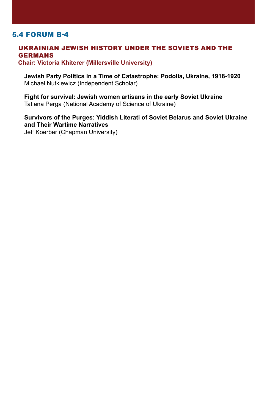#### UKRAINIAN JEWISH HISTORY UNDER THE SOVIETS AND THE GERMANS

**Chair: Victoria Khiterer (Millersville University)**

**Jewish Party Politics in a Time of Catastrophe: Podolia, Ukraine, 1918-1920** Michael Nutkiewicz (Independent Scholar)

**Fight for survival: Jewish women artisans in the early Soviet Ukraine**  Tatiana Perga (National Academy of Science of Ukraine)

**Survivors of the Purges: Yiddish Literati of Soviet Belarus and Soviet Ukraine and Their Wartime Narratives**

Jeff Koerber (Chapman University)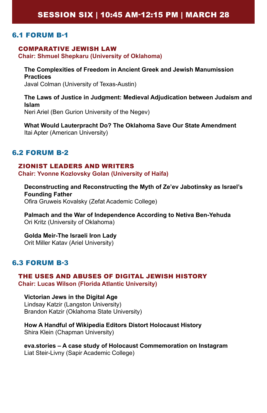#### COMPARATIVE JEWISH LAW

**Chair: Shmuel Shepkaru (University of Oklahoma)**

**The Complexities of Freedom in Ancient Greek and Jewish Manumission Practices**  Javal Colman (University of Texas-Austin)

**The Laws of Justice in Judgment: Medieval Adjudication between Judaism and Islam**  Neri Ariel (Ben Gurion University of the Negev)

**What Would Lauterpracht Do? The Oklahoma Save Our State Amendment**  Itai Apter (American University)

#### 6.2 FORUM B-2

#### ZIONIST LEADERS AND WRITERS

**Chair: Yvonne Kozlovsky Golan (University of Haifa)**

**Deconstructing and Reconstructing the Myth of Ze'ev Jabotinsky as Israel's Founding Father** Ofira Gruweis Kovalsky (Zefat Academic College)

**Palmach and the War of Independence According to Netiva Ben-Yehuda** Ori Kritz (University of Oklahoma)

**Golda Meir-The Israeli Iron Lady**  Orit Miller Katav (Ariel University)

#### 6.3 FORUM B-3

#### THE USES AND ABUSES OF DIGITAL JEWISH HISTORY **Chair: Lucas Wilson (Florida Atlantic University)**

#### **Victorian Jews in the Digital Age**

Lindsay Katzir (Langston University) Brandon Katzir (Oklahoma State University)

**How A Handful of Wikipedia Editors Distort Holocaust History**  Shira Klein (Chapman University)

**eva.stories – A case study of Holocaust Commemoration on Instagram**  Liat Steir-Livny (Sapir Academic College)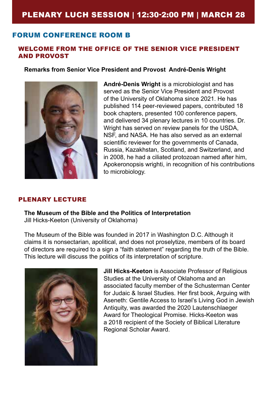### PLENARY LUCH SESSION | 12:30-2:00 PM | MARCH 28

#### FORUM CONFERENCE ROOM B

#### WELCOME FROM THE OFFICE OF THE SENIOR VICE PRESIDENT AND PROVOST

#### **Remarks from Senior Vice President and Provost André-Denis Wright**



**André-Denis Wright** is a microbiologist and has served as the Senior Vice President and Provost of the University of Oklahoma since 2021. He has published 114 peer-reviewed papers, contributed 18 book chapters, presented 100 conference papers, and delivered 34 plenary lectures in 10 countries. Dr. Wright has served on review panels for the USDA, NSF, and NASA. He has also served as an external scientific reviewer for the governments of Canada, Russia, Kazakhstan, Scotland, and Switzerland, and in 2008, he had a ciliated protozoan named after him, Apokeronopsis wrighti, in recognition of his contributions to microbiology.

#### PLENARY LECTURE

**The Museum of the Bible and the Politics of Interpretation**  Jill Hicks-Keeton (University of Oklahoma)

The Museum of the Bible was founded in 2017 in Washington D.C. Although it claims it is nonsectarian, apolitical, and does not proselytize, members of its board of directors are required to a sign a "faith statement" regarding the truth of the Bible. This lecture will discuss the politics of its interpretation of scripture.



**Jill Hicks-Keeton** is Associate Professor of Religious Studies at the University of Oklahoma and an associated faculty member of the Schusterman Center for Judaic & Israel Studies. Her first book, Arguing with Aseneth: Gentile Access to Israel's Living God in Jewish Antiquity, was awarded the 2020 Lautenschlaeger Award for Theological Promise. Hicks-Keeton was a 2018 recipient of the Society of Biblical Literature Regional Scholar Award.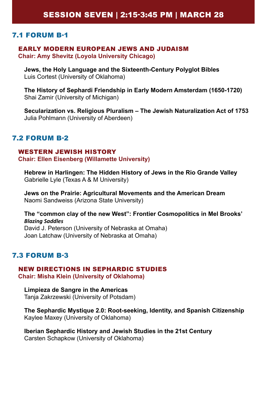#### EARLY MODERN EUROPEAN JEWS AND JUDAISM **Chair: Amy Shevitz (Loyola University Chicago)**

**Jews, the Holy Language and the Sixteenth-Century Polyglot Bibles** Luis Cortest (University of Oklahoma)

**The History of Sephardi Friendship in Early Modern Amsterdam (1650-1720)** Shai Zamir (University of Michigan)

**Secularization vs. Religious Pluralism – The Jewish Naturalization Act of 1753** Julia Pohlmann (University of Aberdeen)

#### 7.2 FORUM B-2

#### WESTERN JEWISH HISTORY **Chair: Ellen Eisenberg (Willamette University)**

**Hebrew in Harlingen: The Hidden History of Jews in the Rio Grande Valley** Gabrielle Lyle (Texas A & M University)

**Jews on the Prairie: Agricultural Movements and the American Dream**  Naomi Sandweiss (Arizona State University)

**The "common clay of the new West": Frontier Cosmopolitics in Mel Brooks'**  *Blazing Saddles* David J. Peterson (University of Nebraska at Omaha) Joan Latchaw (University of Nebraska at Omaha)

#### 7.3 FORUM B-3

#### NEW DIRECTIONS IN SEPHARDIC STUDIES **Chair: Misha Klein (University of Oklahoma)**

**Limpieza de Sangre in the Americas** Tanja Zakrzewski (University of Potsdam)

**The Sephardic Mystique 2.0: Root-seeking, Identity, and Spanish Citizenship** Kaylee Maxey (University of Oklahoma)

**Iberian Sephardic History and Jewish Studies in the 21st Century** Carsten Schapkow (University of Oklahoma)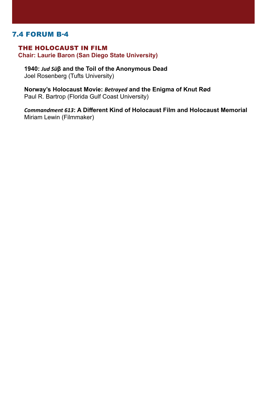#### THE HOLOCAUST IN FILM **Chair: Laurie Baron (San Diego State University)**

**1940:** *Jud Sü***β and the Toil of the Anonymous Dead** Joel Rosenberg (Tufts University)

#### **Norway's Holocaust Movie:** *Betrayed* **and the Enigma of Knut Rød** Paul R. Bartrop (Florida Gulf Coast University)

*Commandment 613***: A Different Kind of Holocaust Film and Holocaust Memorial**  Miriam Lewin (Filmmaker)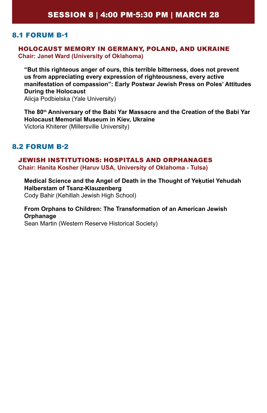#### HOLOCAUST MEMORY IN GERMANY, POLAND, AND UKRAINE **Chair: Janet Ward (University of Oklahoma)**

**"But this righteous anger of ours, this terrible bitterness, does not prevent us from appreciating every expression of righteousness, every active manifestation of compassion": Early Postwar Jewish Press on Poles' Attitudes During the Holocaust**  Alicja Podbielska (Yale University)

**The 80th Anniversary of the Babi Yar Massacre and the Creation of the Babi Yar Holocaust Memorial Museum in Kiev, Ukraine** Victoria Khiterer (Millersville University)

#### 8.2 FORUM B-2

### JEWISH INSTITUTIONS: HOSPITALS AND ORPHANAGES

**Chair: Hanita Kosher (Haruv USA, University of Oklahoma - Tulsa)**

**Medical Science and the Angel of Death in the Thought of Yeḳutiel Yehudah Halberstam of Tsanz-Klauzenberg** Cody Bahir (Kehillah Jewish High School)

#### **From Orphans to Children: The Transformation of an American Jewish Orphanage**

Sean Martin (Western Reserve Historical Society)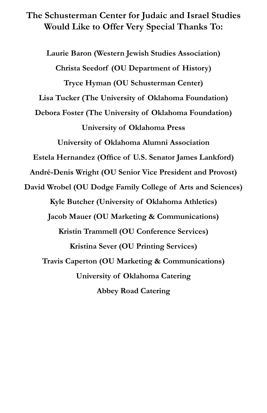**The Schusterman Center for Judaic and Israel Studies Would Like to Offer Very Special Thanks To:**

**Laurie Baron (Western Jewish Studies Association) Christa Seedorf (OU Department of History) Tryce Hyman (OU Schusterman Center) Lisa Tucker (The University of Oklahoma Foundation) Debora Foster (The University of Oklahoma Foundation) University of Oklahoma Press University of Oklahoma Alumni Association Estela Hernandez (Office of U.S. Senator James Lankford) André-Denis Wright (OU Senior Vice President and Provost) David Wrobel (OU Dodge Family College of Arts and Sciences) Kyle Butcher (University of Oklahoma Athletics) Jacob Mauer (OU Marketing & Communications) Kristin Trammell (OU Conference Services) Kristina Sever (OU Printing Services) Travis Caperton (OU Marketing & Communications) University of Oklahoma Catering Abbey Road Catering**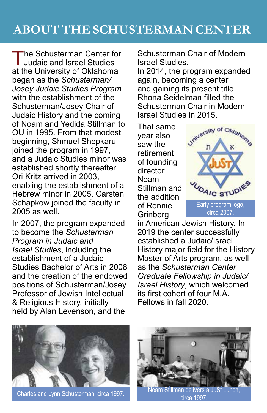The Schusterman Center for Judaic and Israel Studies at the University of Oklahoma began as the *Schusterman/ Josey Judaic Studies Program* with the establishment of the Schusterman/Josey Chair of Judaic History and the coming of Noam and Yedida Stillman to OU in 1995. From that modest beginning, Shmuel Shepkaru joined the program in 1997, and a Judaic Studies minor was established shortly thereafter. Ori Kritz arrived in 2003, enabling the establishment of a Hebrew minor in 2005. Carsten Schapkow joined the faculty in 2005 as well.

In 2007, the program expanded to become the *Schusterman Program in Judaic and Israel Studies*, including the establishment of a Judaic Studies Bachelor of Arts in 2008 and the creation of the endowed positions of Schusterman/Josey Professor of Jewish Intellectual & Religious History, initially held by Alan Levenson, and the

Schusterman Chair of Modern Israel Studies.

In 2014, the program expanded again, becoming a center and gaining its present title. Rhona Seidelman filled the Schusterman Chair in Modern Israel Studies in 2015.

That same year also saw the retirement of founding director Noam Stillman and the addition of Ronnie Grinberg



in American Jewish History. In 2019 the center successfully established a Judaic/Israel History major field for the History Master of Arts program, as well as the *Schusterman Center Graduate Fellowship in Judaic/ Israel History*, which welcomed its first cohort of four M.A. Fellows in fall 2020.



Charles and Lynn Schusterman, circa 1997.



Noam Stillman delivers a JuSt Lunch, circa 1997.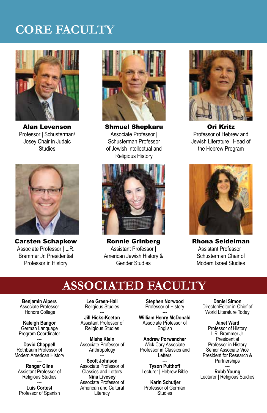# **CORE FACULTY**



Alan Levenson Professor | Schusterman/ Josey Chair in Judaic **Studies** 



Carsten Schapkow Associate Professor | L.R. Brammer Jr. Presidential Professor in History



Shmuel Shepkaru Associate Professor | Schusterman Professor of Jewish Intellectual and Religious History



Ronnie Grinberg Assistant Professor | American Jewish History & Gender Studies



Ori Kritz Professor of Hebrew and Jewish Literature | Head of the Hebrew Program



Rhona Seidelman Assistant Professor | Schusterman Chair of Modern Israel Studies

## **ASSOCIATED FACULTY**

**Benjamin Alpers** Associate Professor Honors College

--- **Kaleigh Bangor** German Language Program Coordinator

--- **David Chappell** Rothbaum Professor of Modern American History

ـــ<br>Rangar Cline Assistant Professor of Religious Studies

--- **Luis Cortest** Professor of Spanish

**Lee Green-Hall** Religious Studies

--- **Jill Hicks-Keeton** Assistant Professor of Religious Studies

--- **Misha Klein** Associate Professor of Anthropology

--- **Scott Johnson** Associate Professor of Classics and Letters **Nina Livesey** Associate Professor of American and Cultural **Literacy** 

**Stephen Norwood** Professor of History

ـــ<br>William Henry McDonald Associate Professor of English

--- **Andrew Porwancher** Wick Cary Associate Professor in Classics and Letters

--- **Tyson Putthoff** Lecturer | Hebrew Bible

**Karin Schutjer** Professor of German **Studies** 

**Daniel Simon** Director/Editor-in-Chief of World Literature Today

### --- **Janet Ward**

Professor of History L.R. Brammer Jr. Presidential Professor in History Senior Associate Vice President for Research & **Partnerships** 

--- **Robb Young** Lecturer | Religious Studies